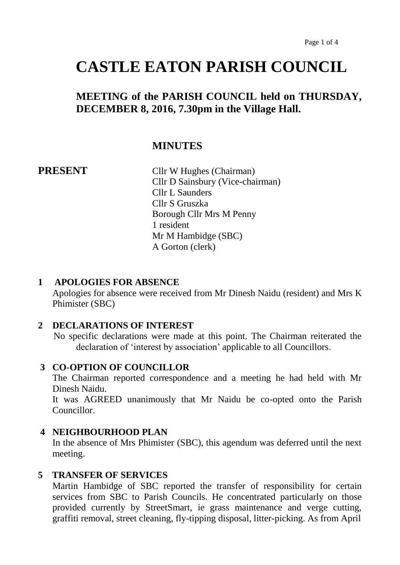# **CASTLE EATON PARISH COUNCIL**

# **MEETING of the PARISH COUNCIL held on THURSDAY, DECEMBER 8, 2016, 7.30pm in the Village Hall.**

# **MINUTES**

**PRESENT** Cllr W Hughes (Chairman) Cllr D Sainsbury (Vice-chairman) Cllr L Saunders Cllr S Gruszka Borough Cllr Mrs M Penny 1 resident Mr M Hambidge (SBC) A Gorton (clerk)

#### **1 APOLOGIES FOR ABSENCE**

Apologies for absence were received from Mr Dinesh Naidu (resident) and Mrs K Phimister (SBC)

#### **2 DECLARATIONS OF INTEREST**

 No specific declarations were made at this point. The Chairman reiterated the declaration of 'interest by association' applicable to all Councillors.

#### **3 CO-OPTION OF COUNCILLOR**

The Chairman reported correspondence and a meeting he had held with Mr Dinesh Naidu.

It was AGREED unanimously that Mr Naidu be co-opted onto the Parish Councillor.

## **4 NEIGHBOURHOOD PLAN**

In the absence of Mrs Phimister (SBC), this agendum was deferred until the next meeting.

#### **5 TRANSFER OF SERVICES**

Martin Hambidge of SBC reported the transfer of responsibility for certain services from SBC to Parish Councils. He concentrated particularly on those provided currently by StreetSmart, ie grass maintenance and verge cutting, graffiti removal, street cleaning, fly-tipping disposal, litter-picking. As from April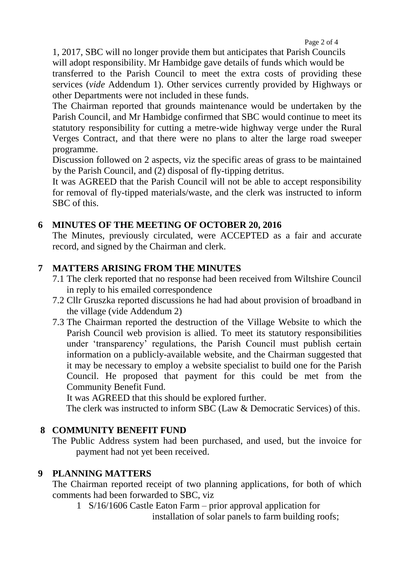1, 2017, SBC will no longer provide them but anticipates that Parish Councils will adopt responsibility. Mr Hambidge gave details of funds which would be transferred to the Parish Council to meet the extra costs of providing these services (*vide* Addendum 1). Other services currently provided by Highways or other Departments were not included in these funds.

The Chairman reported that grounds maintenance would be undertaken by the Parish Council, and Mr Hambidge confirmed that SBC would continue to meet its statutory responsibility for cutting a metre-wide highway verge under the Rural Verges Contract, and that there were no plans to alter the large road sweeper programme.

Discussion followed on 2 aspects, viz the specific areas of grass to be maintained by the Parish Council, and (2) disposal of fly-tipping detritus.

It was AGREED that the Parish Council will not be able to accept responsibility for removal of fly-tipped materials/waste, and the clerk was instructed to inform SBC of this.

# **6 MINUTES OF THE MEETING OF OCTOBER 20, 2016**

The Minutes, previously circulated, were ACCEPTED as a fair and accurate record, and signed by the Chairman and clerk.

# **7 MATTERS ARISING FROM THE MINUTES**

- 7.1 The clerk reported that no response had been received from Wiltshire Council in reply to his emailed correspondence
- 7.2 Cllr Gruszka reported discussions he had had about provision of broadband in the village (vide Addendum 2)
- 7.3 The Chairman reported the destruction of the Village Website to which the Parish Council web provision is allied. To meet its statutory responsibilities under 'transparency' regulations, the Parish Council must publish certain information on a publicly-available website, and the Chairman suggested that it may be necessary to employ a website specialist to build one for the Parish Council. He proposed that payment for this could be met from the Community Benefit Fund.

It was AGREED that this should be explored further.

The clerk was instructed to inform SBC (Law & Democratic Services) of this.

# **8 COMMUNITY BENEFIT FUND**

The Public Address system had been purchased, and used, but the invoice for payment had not yet been received.

# **9 PLANNING MATTERS**

The Chairman reported receipt of two planning applications, for both of which comments had been forwarded to SBC, viz

1 S/16/1606 Castle Eaton Farm – prior approval application for

installation of solar panels to farm building roofs;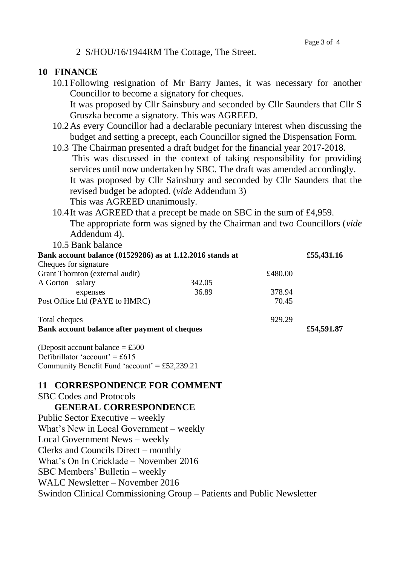#### 2 S/HOU/16/1944RM The Cottage, The Street.

### **10 FINANCE**

- 10.1Following resignation of Mr Barry James, it was necessary for another Councillor to become a signatory for cheques. It was proposed by Cllr Sainsbury and seconded by Cllr Saunders that Cllr S Gruszka become a signatory. This was AGREED.
- 10.2As every Councillor had a declarable pecuniary interest when discussing the budget and setting a precept, each Councillor signed the Dispensation Form.
- 10.3 The Chairman presented a draft budget for the financial year 2017-2018. This was discussed in the context of taking responsibility for providing services until now undertaken by SBC. The draft was amended accordingly. It was proposed by Cllr Sainsbury and seconded by Cllr Saunders that the revised budget be adopted. (*vide* Addendum 3) This was AGREED unanimously.
- 10.4It was AGREED that a precept be made on SBC in the sum of £4,959. The appropriate form was signed by the Chairman and two Councillors (*vide* Addendum 4).

10.5 Bank balance

| Bank account balance (01529286) as at 1.12.2016 stands at |  |        |         | £55,431.16 |
|-----------------------------------------------------------|--|--------|---------|------------|
| Cheques for signature                                     |  |        |         |            |
| Grant Thornton (external audit)                           |  |        | £480.00 |            |
| A Gorton salary                                           |  | 342.05 |         |            |
| expenses                                                  |  | 36.89  | 378.94  |            |
| Post Office Ltd (PAYE to HMRC)                            |  |        | 70.45   |            |
| Total cheques                                             |  |        | 929.29  |            |
| Bank account balance after payment of cheques             |  |        |         |            |

(Deposit account balance  $=$  £500 Defibrillator 'account' =  $£615$ Community Benefit Fund 'account' = £52,239.21

#### **11 CORRESPONDENCE FOR COMMENT**

SBC Codes and Protocols

 **GENERAL CORRESPONDENCE**

Public Sector Executive – weekly What's New in Local Government – weekly Local Government News – weekly Clerks and Councils Direct – monthly What's On In Cricklade – November 2016 SBC Members' Bulletin – weekly WALC Newsletter – November 2016 Swindon Clinical Commissioning Group – Patients and Public Newsletter